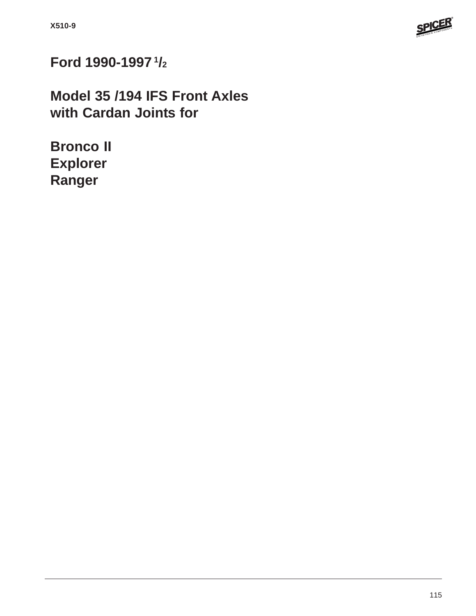

**Ford 1990-1997 1/2**

**Model 35 /194 IFS Front Axles with Cardan Joints for**

**Bronco II Explorer Ranger**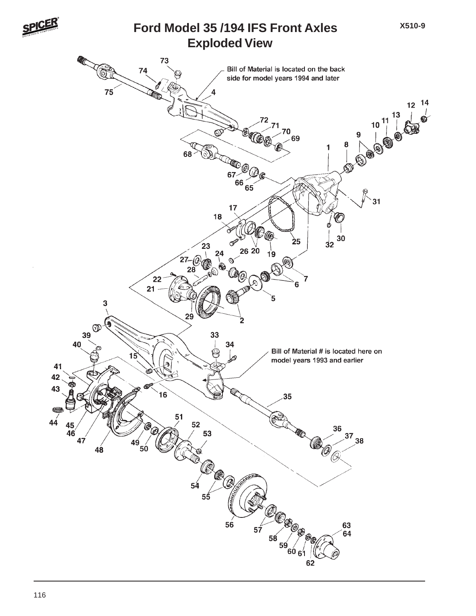

### **Exploded View Ford Model 35 /194 IFS Front Axles**

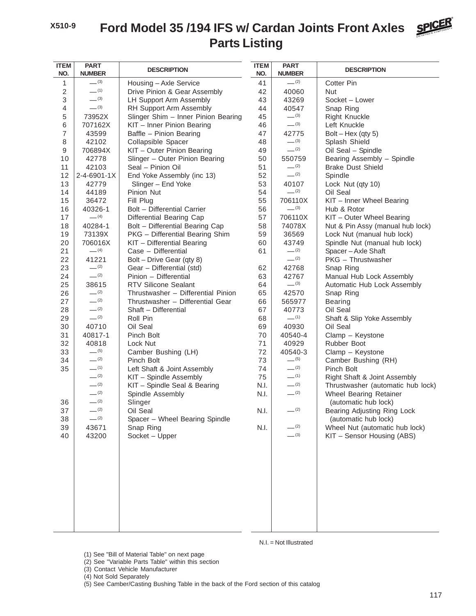# **Parts Listing Ford Model 35 /194 IFS w/ Cardan Joints Front Axles**



| <b>ITEM</b>    | <b>PART</b>        |                                                  | <b>ITEM</b>  | <b>PART</b>          |                                                             |
|----------------|--------------------|--------------------------------------------------|--------------|----------------------|-------------------------------------------------------------|
| NO.            | <b>NUMBER</b>      | <b>DESCRIPTION</b>                               | NO.          | <b>NUMBER</b>        | <b>DESCRIPTION</b>                                          |
| 1              | $-^{(3)}$          | Housing - Axle Service                           | 41           | $-^{(2)}$            | <b>Cotter Pin</b>                                           |
| $\overline{2}$ | $-$ (1)            | Drive Pinion & Gear Assembly                     | 42           | 40060                | Nut                                                         |
| 3              | $-^{(3)}$          | LH Support Arm Assembly                          | 43           | 43269                | Socket - Lower                                              |
| $\overline{4}$ | $-^{(3)}$          | RH Support Arm Assembly                          | 44           | 40547                | Snap Ring                                                   |
| 5              | 73952X             | Slinger Shim - Inner Pinion Bearing              | 45           | $-^{(3)}$            | <b>Right Knuckle</b>                                        |
| 6              | 707162X            | KIT - Inner Pinion Bearing                       | 46           | $-^{(3)}$            | Left Knuckle                                                |
| $\overline{7}$ | 43599              | Baffle - Pinion Bearing                          | 47           | 42775                | Bolt $-$ Hex (qty 5)                                        |
| 8              | 42102              | Collapsible Spacer                               | 48           | $-^{(3)}$            | Splash Shield                                               |
| 9              | 706894X            | KIT - Outer Pinion Bearing                       | 49           | $- (2)$              | Oil Seal - Spindle                                          |
| 10             | 42778              | Slinger - Outer Pinion Bearing                   | 50           | 550759               | Bearing Assembly - Spindle                                  |
| 11             | 42103              | Seal - Pinion Oil                                | 51           | $-^{(2)}$            | <b>Brake Dust Shield</b>                                    |
| 12             | 2-4-6901-1X        | End Yoke Assembly (inc 13)                       | 52           | $-^{(2)}$            | Spindle                                                     |
| 13             | 42779              | Slinger - End Yoke                               | 53           | 40107                | Lock Nut (qty 10)                                           |
| 14             | 44189              | Pinion Nut                                       | 54           | $-^{(2)}$            | Oil Seal                                                    |
| 15             | 36472              | Fill Plug                                        | 55           | 706110X              | KIT - Inner Wheel Bearing                                   |
| 16             | 40326-1            | Bolt - Differential Carrier                      | 56           | $-^{(3)}$            | Hub & Rotor                                                 |
| 17             | $-$ (4)            | Differential Bearing Cap                         | 57           | 706110X              | KIT - Outer Wheel Bearing                                   |
| 18             | 40284-1            | Bolt - Differential Bearing Cap                  | 58           | 74078X               | Nut & Pin Assy (manual hub lock)                            |
| 19             | 73139X             | PKG - Differential Bearing Shim                  | 59           | 36569                | Lock Nut (manual hub lock)                                  |
| 20             | 706016X            | KIT - Differential Bearing                       | 60           | 43749                | Spindle Nut (manual hub lock)                               |
| 21             | $- (4)$            | Case - Differential                              | 61           | $-^{(2)}$            | Spacer - Axle Shaft                                         |
| 22             | 41221              | Bolt - Drive Gear (qty 8)                        |              | $-$ (2)              | PKG - Thrustwasher                                          |
| 23             | $-^{(2)}$          | Gear - Differential (std)                        | 62           | 42768                | Snap Ring                                                   |
| 24             | $- (2)$            | Pinion - Differential                            | 63           | 42767                | Manual Hub Lock Assembly                                    |
| 25             | 38615              | <b>RTV Silicone Sealant</b>                      | 64           | $-^{(3)}$            | Automatic Hub Lock Assembly                                 |
| 26             | $-^{(2)}$          | Thrustwasher - Differential Pinion               | 65           | 42570                | Snap Ring                                                   |
| 27             | $-^{(2)}$          | Thrustwasher - Differential Gear                 | 66           | 565977               | <b>Bearing</b>                                              |
| 28             | $-^{(2)}$          | Shaft - Differential                             | 67           | 40773                | Oil Seal                                                    |
| 29             | $-^{(2)}$          | Roll Pin                                         | 68           | $-$ (1)              | Shaft & Slip Yoke Assembly                                  |
| 30             | 40710              | Oil Seal                                         | 69           | 40930                | Oil Seal                                                    |
| 31             | 40817-1            | Pinch Bolt                                       | 70           | 40540-4              | Clamp - Keystone                                            |
| 32             | 40818<br>$-^{(5)}$ | Lock Nut                                         | 71           | 40929                | Rubber Boot                                                 |
| 33             | $-$ (2)            | Camber Bushing (LH)                              | 72           | 40540-3<br>$-^{(5)}$ | Clamp - Keystone                                            |
| 34<br>35       | $-$ (1)            | Pinch Bolt                                       | 73           | $-^{(2)}$            | Camber Bushing (RH)                                         |
|                | $-^{(2)}$          | Left Shaft & Joint Assembly                      | 74           | $-^{(1)}$            | Pinch Bolt                                                  |
|                | $-^{(2)}$          | KIT - Spindle Assembly                           | 75           | $-^{(2)}$            | Right Shaft & Joint Assembly                                |
|                | $-^{(2)}$          | KIT - Spindle Seal & Bearing<br>Spindle Assembly | N.I.<br>N.I. | $-^{(2)}$            | Thrustwasher (automatic hub lock)<br>Wheel Bearing Retainer |
| 36             | $-^{(2)}$          | Slinger                                          |              |                      | (automatic hub lock)                                        |
| 37             | $-^{(2)}$          | Oil Seal                                         | N.I.         | $-^{(2)}$            | Bearing Adjusting Ring Lock                                 |
| 38             | $-^{(2)}$          | Spacer - Wheel Bearing Spindle                   |              |                      | (automatic hub lock)                                        |
| 39             | 43671              | Snap Ring                                        | N.I.         | $-^{(2)}$            | Wheel Nut (automatic hub lock)                              |
| 40             | 43200              | Socket - Upper                                   |              | $-^{(3)}$            | KIT - Sensor Housing (ABS)                                  |
|                |                    |                                                  |              |                      |                                                             |
|                |                    |                                                  |              |                      |                                                             |
|                |                    |                                                  |              |                      |                                                             |
|                |                    |                                                  |              |                      |                                                             |

N.I. = Not Illustrated

(1) See "Bill of Material Table" on next page

- (2) See "Variable Parts Table" within this section
- (3) Contact Vehicle Manufacturer

(4) Not Sold Separately

(5) See Camber/Casting Bushing Table in the back of the Ford section of this catalog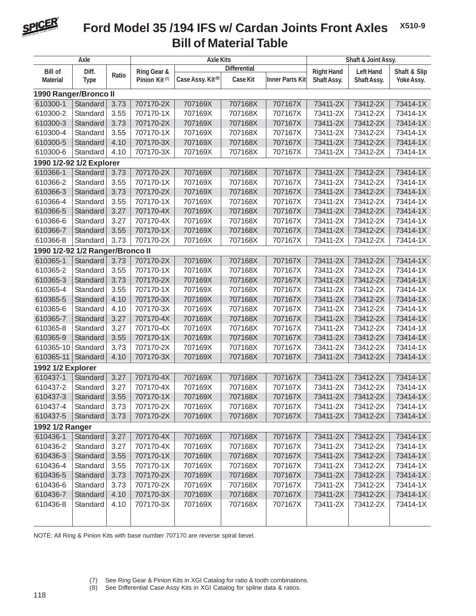

#### **X510-9 Bill of Material Table Ford Model 35 /194 IFS w/ Cardan Joints Front Axles**

| Axle                             |             |       |                           | <b>Axle Kits</b>              | Shaft & Joint Assy. |                        |                   |                  |              |  |  |
|----------------------------------|-------------|-------|---------------------------|-------------------------------|---------------------|------------------------|-------------------|------------------|--------------|--|--|
| <b>Bill of</b>                   | Diff.       |       | Ring Gear &               | <b>Differential</b>           |                     |                        | <b>Right Hand</b> | <b>Left Hand</b> | Shaft & Slip |  |  |
| <b>Material</b>                  | <b>Type</b> | Ratio | Pinion Kit <sup>(7)</sup> | Case Assy. Kit <sup>(8)</sup> | <b>Case Kit</b>     | <b>Inner Parts Kit</b> | Shaft Assy.       | Shaft Assy.      | Yoke Assy.   |  |  |
| 1990 Ranger/Bronco II            |             |       |                           |                               |                     |                        |                   |                  |              |  |  |
| 610300-1                         | Standard    | 3.73  | 707170-2X                 | 707169X                       | 707168X             | 707167X                | 73411-2X          | 73412-2X         | 73414-1X     |  |  |
| 610300-2                         | Standard    | 3.55  | 707170-1X                 | 707169X                       | 707168X             | 707167X                | 73411-2X          | 73412-2X         | 73414-1X     |  |  |
| 610300-3                         | Standard    | 3.73  | 707170-2X                 | 707169X                       | 707168X             | 707167X                | 73411-2X          | 73412-2X         | 73414-1X     |  |  |
| 610300-4                         | Standard    | 3.55  | 707170-1X                 | 707169X                       | 707168X             | 707167X                | 73411-2X          | 73412-2X         | 73414-1X     |  |  |
| 610300-5                         | Standard    | 4.10  | 707170-3X                 | 707169X                       | 707168X             | 707167X                | 73411-2X          | 73412-2X         | 73414-1X     |  |  |
| 610300-6                         | Standard    | 4.10  | 707170-3X                 | 707169X                       | 707168X             | 707167X                | 73411-2X          | 73412-2X         | 73414-1X     |  |  |
| 1990 1/2-92 1/2 Explorer         |             |       |                           |                               |                     |                        |                   |                  |              |  |  |
| 610366-1                         | Standard    | 3.73  | 707170-2X                 | 707169X                       | 707168X             | 707167X                | 73411-2X          | 73412-2X         | 73414-1X     |  |  |
| 610366-2                         | Standard    | 3.55  | 707170-1X                 | 707169X                       | 707168X             | 707167X                | 73411-2X          | 73412-2X         | 73414-1X     |  |  |
| 610366-3                         | Standard    | 3.73  | 707170-2X                 | 707169X                       | 707168X             | 707167X                | 73411-2X          | 73412-2X         | 73414-1X     |  |  |
| 610366-4                         | Standard    | 3.55  | 707170-1X                 | 707169X                       | 707168X             | 707167X                | 73411-2X          | 73412-2X         | 73414-1X     |  |  |
| 610366-5                         | Standard    | 3.27  | 707170-4X                 | 707169X                       | 707168X             | 707167X                | 73411-2X          | 73412-2X         | 73414-1X     |  |  |
| 610366-6                         | Standard    | 3.27  | 707170-4X                 | 707169X                       | 707168X             | 707167X                | 73411-2X          | 73412-2X         | 73414-1X     |  |  |
| 610366-7                         | Standard    | 3.55  | 707170-1X                 | 707169X                       | 707168X             | 707167X                | 73411-2X          | 73412-2X         | 73414-1X     |  |  |
| 610366-8                         | Standard    | 3.73  | 707170-2X                 | 707169X                       | 707168X             | 707167X                | 73411-2X          | 73412-2X         | 73414-1X     |  |  |
| 1990 1/2-92 1/2 Ranger/Bronco II |             |       |                           |                               |                     |                        |                   |                  |              |  |  |
| 610365-1                         | Standard    | 3.73  | 707170-2X                 | 707169X                       | 707168X             | 707167X                | 73411-2X          | 73412-2X         | 73414-1X     |  |  |
| 610365-2                         | Standard    | 3.55  | 707170-1X                 | 707169X                       | 707168X             | 707167X                | 73411-2X          | 73412-2X         | 73414-1X     |  |  |
| 610365-3                         | Standard    | 3.73  | 707170-2X                 | 707169X                       | 707168X             | 707167X                | 73411-2X          | 73412-2X         | 73414-1X     |  |  |
| 610365-4                         | Standard    | 3.55  | 707170-1X                 | 707169X                       | 707168X             | 707167X                | 73411-2X          | 73412-2X         | 73414-1X     |  |  |
| 610365-5                         | Standard    | 4.10  | 707170-3X                 | 707169X                       | 707168X             | 707167X                | 73411-2X          | 73412-2X         | 73414-1X     |  |  |
| 610365-6                         | Standard    | 4.10  | 707170-3X                 | 707169X                       | 707168X             | 707167X                | 73411-2X          | 73412-2X         | 73414-1X     |  |  |
| 610365-7                         | Standard    | 3.27  | 707170-4X                 | 707169X                       | 707168X             | 707167X                | 73411-2X          | 73412-2X         | 73414-1X     |  |  |
| 610365-8                         | Standard    | 3.27  | 707170-4X                 | 707169X                       | 707168X             | 707167X                | 73411-2X          | 73412-2X         | 73414-1X     |  |  |
| 610365-9                         | Standard    | 3.55  | 707170-1X                 | 707169X                       | 707168X             | 707167X                | 73411-2X          | 73412-2X         | 73414-1X     |  |  |
| 610365-10                        | Standard    | 3.73  | 707170-2X                 | 707169X                       | 707168X             | 707167X                | 73411-2X          | 73412-2X         | 73414-1X     |  |  |
| 610365-11                        | Standard    | 4.10  | 707170-3X                 | 707169X                       | 707168X             | 707167X                | 73411-2X          | 73412-2X         | 73414-1X     |  |  |
| 1992 1/2 Explorer                |             |       |                           |                               |                     |                        |                   |                  |              |  |  |
| 610437-1                         | Standard    | 3.27  | 707170-4X                 | 707169X                       | 707168X             | 707167X                | 73411-2X          | 73412-2X         | 73414-1X     |  |  |
| 610437-2                         | Standard    | 3.27  | 707170-4X                 | 707169X                       | 707168X             | 707167X                | 73411-2X          | 73412-2X         | 73414-1X     |  |  |
| 610437-3                         | Standard    | 3.55  | 707170-1X                 | 707169X                       | 707168X             | 707167X                | 73411-2X          | 73412-2X         | 73414-1X     |  |  |
| 610437-4                         | Standard    | 3.73  | 707170-2X                 | 707169X                       | 707168X             | 707167X                | 73411-2X          | 73412-2X         | 73414-1X     |  |  |
| 610437-5                         | Standard    | 3.73  | 707170-2X                 | 707169X                       | 707168X             | 707167X                | 73411-2X          | 73412-2X         | 73414-1X     |  |  |
| 1992 1/2 Ranger                  |             |       |                           |                               |                     |                        |                   |                  |              |  |  |
| 610436-1                         | Standard    | 3.27  | 707170-4X                 | 707169X                       | 707168X             | 707167X                | 73411-2X          | 73412-2X         | 73414-1X     |  |  |
| 610436-2                         | Standard    | 3.27  | 707170-4X                 | 707169X                       | 707168X             | 707167X                | 73411-2X          | 73412-2X         | 73414-1X     |  |  |
| 610436-3                         | Standard    | 3.55  | 707170-1X                 | 707169X                       | 707168X             | 707167X                | 73411-2X          | 73412-2X         | 73414-1X     |  |  |
| 610436-4                         | Standard    | 3.55  | 707170-1X                 | 707169X                       | 707168X             | 707167X                | 73411-2X          | 73412-2X         | 73414-1X     |  |  |
| 610436-5                         | Standard    | 3.73  | 707170-2X                 | 707169X                       | 707168X             | 707167X                | 73411-2X          | 73412-2X         | 73414-1X     |  |  |
| 610436-6                         | Standard    | 3.73  | 707170-2X                 | 707169X                       | 707168X             | 707167X                | 73411-2X          | 73412-2X         | 73414-1X     |  |  |
| 610436-7                         | Standard    | 4.10  | 707170-3X                 | 707169X                       | 707168X             | 707167X                | 73411-2X          | 73412-2X         | 73414-1X     |  |  |
| 610436-8                         | Standard    | 4.10  | 707170-3X                 | 707169X                       | 707168X             | 707167X                | 73411-2X          | 73412-2X         | 73414-1X     |  |  |
|                                  |             |       |                           |                               |                     |                        |                   |                  |              |  |  |
|                                  |             |       |                           |                               |                     |                        |                   |                  |              |  |  |

NOTE: All Ring & Pinion Kits with base number 707170 are reverse spiral bevel.

See Differential Case Assy Kits in XGI Catalog for spline data & ratios.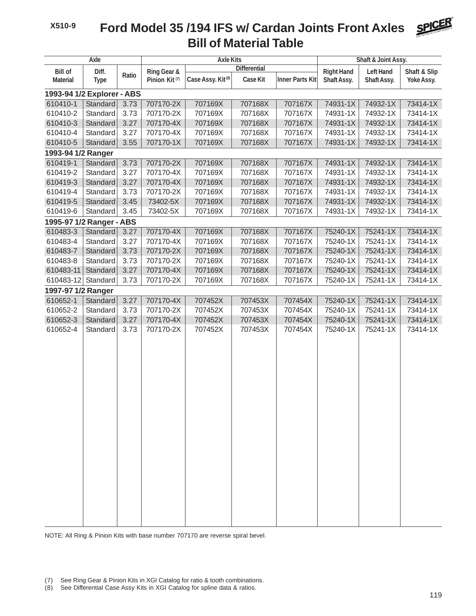# **Bill of Material Table Ford Model 35 /194 IFS w/ Cardan Joints Front Axles**

| Axle                                                        |          |                                                                           |           | <b>Axle Kits</b>                                          |         | Shaft & Joint Assy.              |                                 |                            |          |  |  |  |  |
|-------------------------------------------------------------|----------|---------------------------------------------------------------------------|-----------|-----------------------------------------------------------|---------|----------------------------------|---------------------------------|----------------------------|----------|--|--|--|--|
| <b>Bill of</b><br>Diff.<br>Ratio<br>Material<br><b>Type</b> |          | Ring Gear &<br>Case Assy. Kit <sup>(8)</sup><br>Pinion Kit <sup>(7)</sup> |           | <b>Differential</b><br><b>Inner Parts Kit</b><br>Case Kit |         | <b>Right Hand</b><br>Shaft Assy. | <b>Left Hand</b><br>Shaft Assy. | Shaft & Slip<br>Yoke Assy. |          |  |  |  |  |
| 1993-94 1/2 Explorer - ABS                                  |          |                                                                           |           |                                                           |         |                                  |                                 |                            |          |  |  |  |  |
| 610410-1                                                    | Standard | 3.73                                                                      | 707170-2X | 707169X                                                   | 707168X | 707167X                          | 74931-1X                        | 74932-1X                   | 73414-1X |  |  |  |  |
| 610410-2                                                    | Standard | 3.73                                                                      | 707170-2X | 707169X                                                   | 707168X | 707167X                          | 74931-1X                        | 74932-1X                   | 73414-1X |  |  |  |  |
| 610410-3                                                    | Standard | 3.27                                                                      | 707170-4X | 707169X                                                   | 707168X | 707167X                          | 74931-1X                        | 74932-1X                   | 73414-1X |  |  |  |  |
| 610410-4                                                    | Standard | 3.27                                                                      | 707170-4X | 707169X                                                   | 707168X | 707167X                          | 74931-1X                        | 74932-1X                   | 73414-1X |  |  |  |  |
| 610410-5                                                    | Standard | 3.55                                                                      | 707170-1X | 707169X                                                   | 707168X | 707167X                          | 74931-1X                        | 74932-1X                   | 73414-1X |  |  |  |  |
| 1993-94 1/2 Ranger                                          |          |                                                                           |           |                                                           |         |                                  |                                 |                            |          |  |  |  |  |
| 610419-1                                                    | Standard | 3.73                                                                      | 707170-2X | 707169X                                                   | 707168X | 707167X                          | 74931-1X                        | 74932-1X                   | 73414-1X |  |  |  |  |
| 610419-2                                                    | Standard | 3.27                                                                      | 707170-4X | 707169X                                                   | 707168X | 707167X                          | 74931-1X                        | 74932-1X                   | 73414-1X |  |  |  |  |
| 610419-3                                                    | Standard | 3.27                                                                      | 707170-4X | 707169X                                                   | 707168X | 707167X                          | 74931-1X                        | 74932-1X                   | 73414-1X |  |  |  |  |
| 610419-4                                                    | Standard | 3.73                                                                      | 707170-2X | 707169X                                                   | 707168X | 707167X                          | 74931-1X                        | 74932-1X                   | 73414-1X |  |  |  |  |
| 610419-5                                                    | Standard | 3.45                                                                      | 73402-5X  | 707169X                                                   | 707168X | 707167X                          | 74931-1X                        | 74932-1X                   | 73414-1X |  |  |  |  |
| 610419-6                                                    | Standard | 3.45                                                                      | 73402-5X  | 707169X                                                   | 707168X | 707167X                          | 74931-1X                        | 74932-1X                   | 73414-1X |  |  |  |  |
| 1995-97 1/2 Ranger - ABS                                    |          |                                                                           |           |                                                           |         |                                  |                                 |                            |          |  |  |  |  |
| 610483-3                                                    | Standard | 3.27                                                                      | 707170-4X | 707169X                                                   | 707168X | 707167X                          | 75240-1X                        | 75241-1X                   | 73414-1X |  |  |  |  |
| 610483-4                                                    | Standard | 3.27                                                                      | 707170-4X | 707169X                                                   | 707168X | 707167X                          | 75240-1X                        | 75241-1X                   | 73414-1X |  |  |  |  |
| 610483-7                                                    | Standard | 3.73                                                                      | 707170-2X | 707169X                                                   | 707168X | 707167X                          | 75240-1X                        | 75241-1X                   | 73414-1X |  |  |  |  |
| 610483-8                                                    | Standard | 3.73                                                                      | 707170-2X | 707169X                                                   | 707168X | 707167X                          | 75240-1X                        | 75241-1X                   | 73414-1X |  |  |  |  |
| 610483-11                                                   | Standard | 3.27                                                                      | 707170-4X | 707169X                                                   | 707168X | 707167X                          | 75240-1X                        | 75241-1X                   | 73414-1X |  |  |  |  |
| 610483-12                                                   | Standard | 3.73                                                                      | 707170-2X | 707169X                                                   | 707168X | 707167X                          | 75240-1X                        | 75241-1X                   | 73414-1X |  |  |  |  |
| 1997-97 1/2 Ranger                                          |          |                                                                           |           |                                                           |         |                                  |                                 |                            |          |  |  |  |  |
| 610652-1                                                    | Standard | 3.27                                                                      | 707170-4X | 707452X                                                   | 707453X | 707454X                          | 75240-1X                        | 75241-1X                   | 73414-1X |  |  |  |  |
| 610652-2                                                    | Standard | 3.73                                                                      | 707170-2X | 707452X                                                   | 707453X | 707454X                          | 75240-1X                        | 75241-1X                   | 73414-1X |  |  |  |  |
| 610652-3                                                    | Standard | 3.27                                                                      | 707170-4X | 707452X<br>707452X                                        | 707453X | 707454X                          | 75240-1X                        | 75241-1X                   | 73414-1X |  |  |  |  |
| 610652-4                                                    | Standard | 3.73                                                                      | 707170-2X |                                                           | 707453X | 707454X                          | 75240-1X                        | 75241-1X                   | 73414-1X |  |  |  |  |
|                                                             |          |                                                                           |           |                                                           |         |                                  |                                 |                            |          |  |  |  |  |
|                                                             |          |                                                                           |           |                                                           |         |                                  |                                 |                            |          |  |  |  |  |
|                                                             |          |                                                                           |           |                                                           |         |                                  |                                 |                            |          |  |  |  |  |
|                                                             |          |                                                                           |           |                                                           |         |                                  |                                 |                            |          |  |  |  |  |
|                                                             |          |                                                                           |           |                                                           |         |                                  |                                 |                            |          |  |  |  |  |
|                                                             |          |                                                                           |           |                                                           |         |                                  |                                 |                            |          |  |  |  |  |
|                                                             |          |                                                                           |           |                                                           |         |                                  |                                 |                            |          |  |  |  |  |
|                                                             |          |                                                                           |           |                                                           |         |                                  |                                 |                            |          |  |  |  |  |
|                                                             |          |                                                                           |           |                                                           |         |                                  |                                 |                            |          |  |  |  |  |
|                                                             |          |                                                                           |           |                                                           |         |                                  |                                 |                            |          |  |  |  |  |
|                                                             |          |                                                                           |           |                                                           |         |                                  |                                 |                            |          |  |  |  |  |
|                                                             |          |                                                                           |           |                                                           |         |                                  |                                 |                            |          |  |  |  |  |
|                                                             |          |                                                                           |           |                                                           |         |                                  |                                 |                            |          |  |  |  |  |
|                                                             |          |                                                                           |           |                                                           |         |                                  |                                 |                            |          |  |  |  |  |
|                                                             |          |                                                                           |           |                                                           |         |                                  |                                 |                            |          |  |  |  |  |
|                                                             |          |                                                                           |           |                                                           |         |                                  |                                 |                            |          |  |  |  |  |
|                                                             |          |                                                                           |           |                                                           |         |                                  |                                 |                            |          |  |  |  |  |
|                                                             |          |                                                                           |           |                                                           |         |                                  |                                 |                            |          |  |  |  |  |

NOTE: All Ring & Pinion Kits with base number 707170 are reverse spiral bevel.

(8) See Differential Case Assy Kits in XGI Catalog for spline data & ratios.